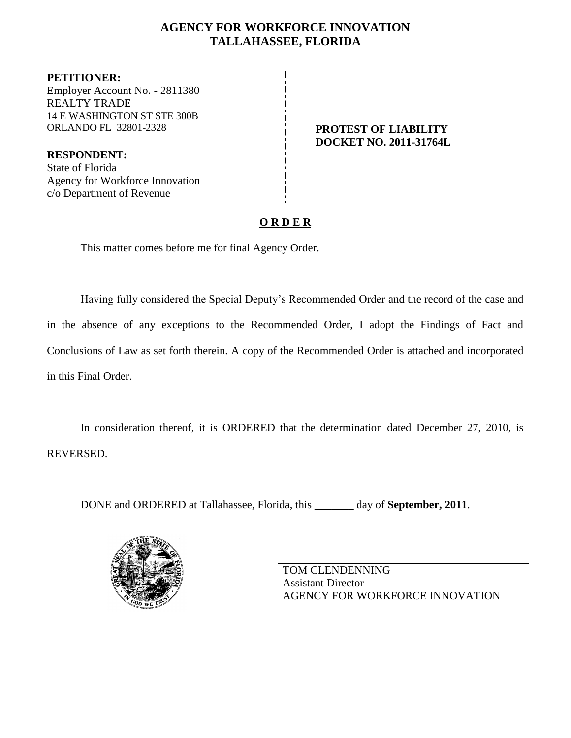### **AGENCY FOR WORKFORCE INNOVATION TALLAHASSEE, FLORIDA**

**PETITIONER:** Employer Account No. - 2811380 REALTY TRADE 14 E WASHINGTON ST STE 300B ORLANDO FL 32801-2328 **PROTEST OF LIABILITY**

**RESPONDENT:** State of Florida Agency for Workforce Innovation c/o Department of Revenue

# **DOCKET NO. 2011-31764L**

## **O R D E R**

This matter comes before me for final Agency Order.

Having fully considered the Special Deputy's Recommended Order and the record of the case and in the absence of any exceptions to the Recommended Order, I adopt the Findings of Fact and Conclusions of Law as set forth therein. A copy of the Recommended Order is attached and incorporated in this Final Order.

In consideration thereof, it is ORDERED that the determination dated December 27, 2010, is REVERSED.

DONE and ORDERED at Tallahassee, Florida, this **\_\_\_\_\_\_\_** day of **September, 2011**.



TOM CLENDENNING Assistant Director AGENCY FOR WORKFORCE INNOVATION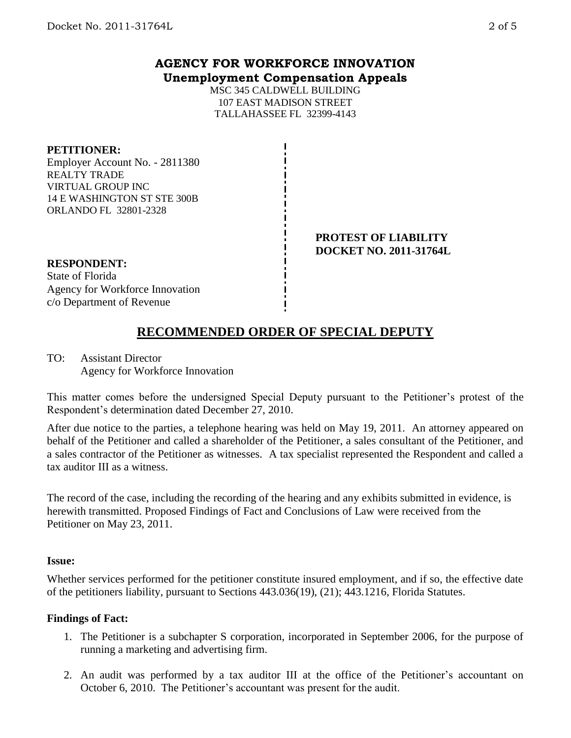## **AGENCY FOR WORKFORCE INNOVATION Unemployment Compensation Appeals**

MSC 345 CALDWELL BUILDING 107 EAST MADISON STREET TALLAHASSEE FL 32399-4143

#### **PETITIONER:**

Employer Account No. - 2811380 REALTY TRADE VIRTUAL GROUP INC 14 E WASHINGTON ST STE 300B ORLANDO FL 32801-2328

#### **PROTEST OF LIABILITY DOCKET NO. 2011-31764L**

**RESPONDENT:** State of Florida Agency for Workforce Innovation c/o Department of Revenue

## **RECOMMENDED ORDER OF SPECIAL DEPUTY**

TO: Assistant Director Agency for Workforce Innovation

This matter comes before the undersigned Special Deputy pursuant to the Petitioner's protest of the Respondent's determination dated December 27, 2010.

After due notice to the parties, a telephone hearing was held on May 19, 2011. An attorney appeared on behalf of the Petitioner and called a shareholder of the Petitioner, a sales consultant of the Petitioner, and a sales contractor of the Petitioner as witnesses. A tax specialist represented the Respondent and called a tax auditor III as a witness.

The record of the case, including the recording of the hearing and any exhibits submitted in evidence, is herewith transmitted. Proposed Findings of Fact and Conclusions of Law were received from the Petitioner on May 23, 2011.

#### **Issue:**

Whether services performed for the petitioner constitute insured employment, and if so, the effective date of the petitioners liability, pursuant to Sections 443.036(19), (21); 443.1216, Florida Statutes.

#### **Findings of Fact:**

- 1. The Petitioner is a subchapter S corporation, incorporated in September 2006, for the purpose of running a marketing and advertising firm.
- 2. An audit was performed by a tax auditor III at the office of the Petitioner's accountant on October 6, 2010. The Petitioner's accountant was present for the audit.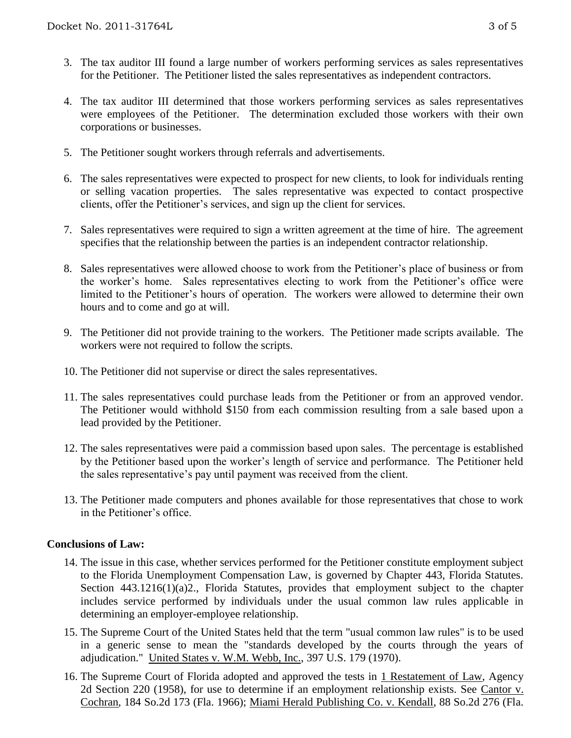- 3. The tax auditor III found a large number of workers performing services as sales representatives for the Petitioner. The Petitioner listed the sales representatives as independent contractors.
- 4. The tax auditor III determined that those workers performing services as sales representatives were employees of the Petitioner. The determination excluded those workers with their own corporations or businesses.
- 5. The Petitioner sought workers through referrals and advertisements.
- 6. The sales representatives were expected to prospect for new clients, to look for individuals renting or selling vacation properties. The sales representative was expected to contact prospective clients, offer the Petitioner's services, and sign up the client for services.
- 7. Sales representatives were required to sign a written agreement at the time of hire. The agreement specifies that the relationship between the parties is an independent contractor relationship.
- 8. Sales representatives were allowed choose to work from the Petitioner's place of business or from the worker's home. Sales representatives electing to work from the Petitioner's office were limited to the Petitioner's hours of operation. The workers were allowed to determine their own hours and to come and go at will.
- 9. The Petitioner did not provide training to the workers. The Petitioner made scripts available. The workers were not required to follow the scripts.
- 10. The Petitioner did not supervise or direct the sales representatives.
- 11. The sales representatives could purchase leads from the Petitioner or from an approved vendor. The Petitioner would withhold \$150 from each commission resulting from a sale based upon a lead provided by the Petitioner.
- 12. The sales representatives were paid a commission based upon sales. The percentage is established by the Petitioner based upon the worker's length of service and performance. The Petitioner held the sales representative's pay until payment was received from the client.
- 13. The Petitioner made computers and phones available for those representatives that chose to work in the Petitioner's office.

#### **Conclusions of Law:**

- 14. The issue in this case, whether services performed for the Petitioner constitute employment subject to the Florida Unemployment Compensation Law, is governed by Chapter 443, Florida Statutes. Section 443.1216(1)(a)2., Florida Statutes, provides that employment subject to the chapter includes service performed by individuals under the usual common law rules applicable in determining an employer-employee relationship.
- 15. The Supreme Court of the United States held that the term "usual common law rules" is to be used in a generic sense to mean the "standards developed by the courts through the years of adjudication." United States v. W.M. Webb, Inc., 397 U.S. 179 (1970).
- 16. The Supreme Court of Florida adopted and approved the tests in 1 Restatement of Law, Agency 2d Section 220 (1958), for use to determine if an employment relationship exists. See Cantor v. Cochran, 184 So.2d 173 (Fla. 1966); Miami Herald Publishing Co. v. Kendall, 88 So.2d 276 (Fla.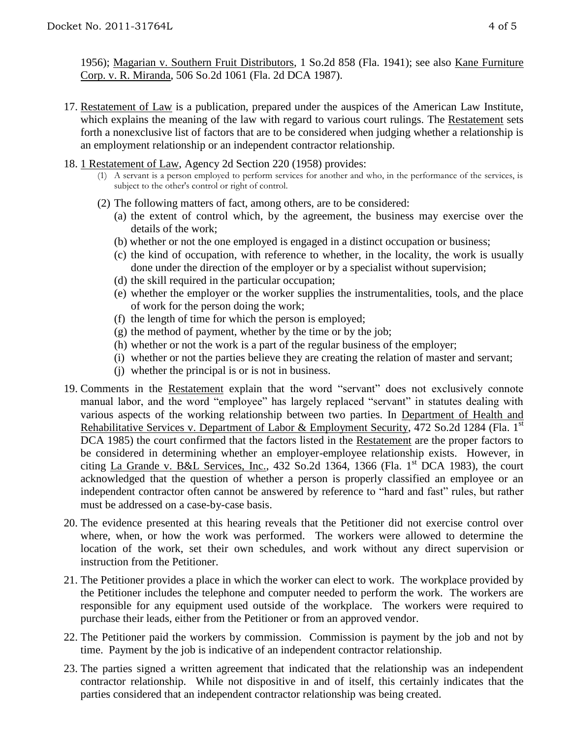1956); Magarian v. Southern Fruit Distributors, 1 So.2d 858 (Fla. 1941); see also Kane Furniture Corp. v. R. Miranda, 506 So.2d 1061 (Fla. 2d DCA 1987).

- 17. Restatement of Law is a publication, prepared under the auspices of the American Law Institute, which explains the meaning of the law with regard to various court rulings. The Restatement sets forth a nonexclusive list of factors that are to be considered when judging whether a relationship is an employment relationship or an independent contractor relationship.
- 18. 1 Restatement of Law, Agency 2d Section 220 (1958) provides:
	- (1) A servant is a person employed to perform services for another and who, in the performance of the services, is subject to the other's control or right of control.
	- (2) The following matters of fact, among others, are to be considered:
		- (a) the extent of control which, by the agreement, the business may exercise over the details of the work;
		- (b) whether or not the one employed is engaged in a distinct occupation or business;
		- (c) the kind of occupation, with reference to whether, in the locality, the work is usually done under the direction of the employer or by a specialist without supervision;
		- (d) the skill required in the particular occupation;
		- (e) whether the employer or the worker supplies the instrumentalities, tools, and the place of work for the person doing the work;
		- (f) the length of time for which the person is employed;
		- (g) the method of payment, whether by the time or by the job;
		- (h) whether or not the work is a part of the regular business of the employer;
		- (i) whether or not the parties believe they are creating the relation of master and servant;
		- (j) whether the principal is or is not in business.
- 19. Comments in the Restatement explain that the word "servant" does not exclusively connote manual labor, and the word "employee" has largely replaced "servant" in statutes dealing with various aspects of the working relationship between two parties. In Department of Health and Rehabilitative Services v. Department of Labor & Employment Security, 472 So.2d 1284 (Fla. 1<sup>st</sup>) DCA 1985) the court confirmed that the factors listed in the Restatement are the proper factors to be considered in determining whether an employer-employee relationship exists. However, in citing La Grande v. B&L Services, Inc., 432 So.2d 1364, 1366 (Fla.  $1<sup>st</sup>$  DCA 1983), the court acknowledged that the question of whether a person is properly classified an employee or an independent contractor often cannot be answered by reference to "hard and fast" rules, but rather must be addressed on a case-by-case basis.
- 20. The evidence presented at this hearing reveals that the Petitioner did not exercise control over where, when, or how the work was performed. The workers were allowed to determine the location of the work, set their own schedules, and work without any direct supervision or instruction from the Petitioner.
- 21. The Petitioner provides a place in which the worker can elect to work. The workplace provided by the Petitioner includes the telephone and computer needed to perform the work. The workers are responsible for any equipment used outside of the workplace. The workers were required to purchase their leads, either from the Petitioner or from an approved vendor.
- 22. The Petitioner paid the workers by commission. Commission is payment by the job and not by time. Payment by the job is indicative of an independent contractor relationship.
- 23. The parties signed a written agreement that indicated that the relationship was an independent contractor relationship. While not dispositive in and of itself, this certainly indicates that the parties considered that an independent contractor relationship was being created.